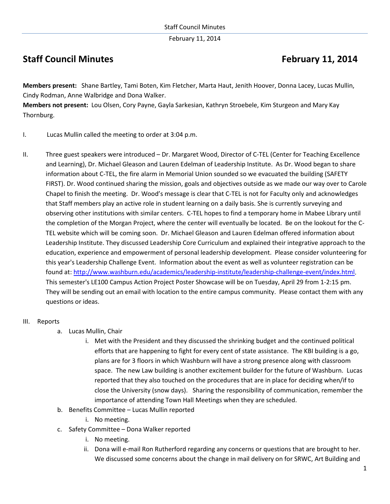February 11, 2014

# **Staff Council Minutes <b>February 11, 2014**

**Members present:** Shane Bartley, Tami Boten, Kim Fletcher, Marta Haut, Jenith Hoover, Donna Lacey, Lucas Mullin, Cindy Rodman, Anne Walbridge and Dona Walker.

**Members not present:** Lou Olsen, Cory Payne, Gayla Sarkesian, Kathryn Stroebele, Kim Sturgeon and Mary Kay Thornburg.

- I. Lucas Mullin called the meeting to order at 3:04 p.m.
- II. Three guest speakers were introduced Dr. Margaret Wood, Director of C-TEL (Center for Teaching Excellence and Learning), Dr. Michael Gleason and Lauren Edelman of Leadership Institute. As Dr. Wood began to share information about C-TEL, the fire alarm in Memorial Union sounded so we evacuated the building (SAFETY FIRST). Dr. Wood continued sharing the mission, goals and objectives outside as we made our way over to Carole Chapel to finish the meeting. Dr. Wood's message is clear that C-TEL is not for Faculty only and acknowledges that Staff members play an active role in student learning on a daily basis. She is currently surveying and observing other institutions with similar centers. C-TEL hopes to find a temporary home in Mabee Library until the completion of the Morgan Project, where the center will eventually be located. Be on the lookout for the C-TEL website which will be coming soon. Dr. Michael Gleason and Lauren Edelman offered information about Leadership Institute. They discussed Leadership Core Curriculum and explained their integrative approach to the education, experience and empowerment of personal leadership development. Please consider volunteering for this year's Leadership Challenge Event. Information about the event as well as volunteer registration can be found at: [http://www.washburn.edu/academics/leadership-institute/leadership-challenge-event/index.html.](http://www.washburn.edu/academics/leadership-institute/leadership-challenge-event/index.html) This semester's LE100 Campus Action Project Poster Showcase will be on Tuesday, April 29 from 1-2:15 pm. They will be sending out an email with location to the entire campus community. Please contact them with any questions or ideas.

### III. Reports

- a. Lucas Mullin, Chair
	- i. Met with the President and they discussed the shrinking budget and the continued political efforts that are happening to fight for every cent of state assistance. The KBI building is a go, plans are for 3 floors in which Washburn will have a strong presence along with classroom space. The new Law building is another excitement builder for the future of Washburn. Lucas reported that they also touched on the procedures that are in place for deciding when/if to close the University (snow days). Sharing the responsibility of communication, remember the importance of attending Town Hall Meetings when they are scheduled.
- b. Benefits Committee Lucas Mullin reported
	- i. No meeting.
- c. Safety Committee Dona Walker reported
	- i. No meeting.
	- ii. Dona will e-mail Ron Rutherford regarding any concerns or questions that are brought to her. We discussed some concerns about the change in mail delivery on for SRWC, Art Building and